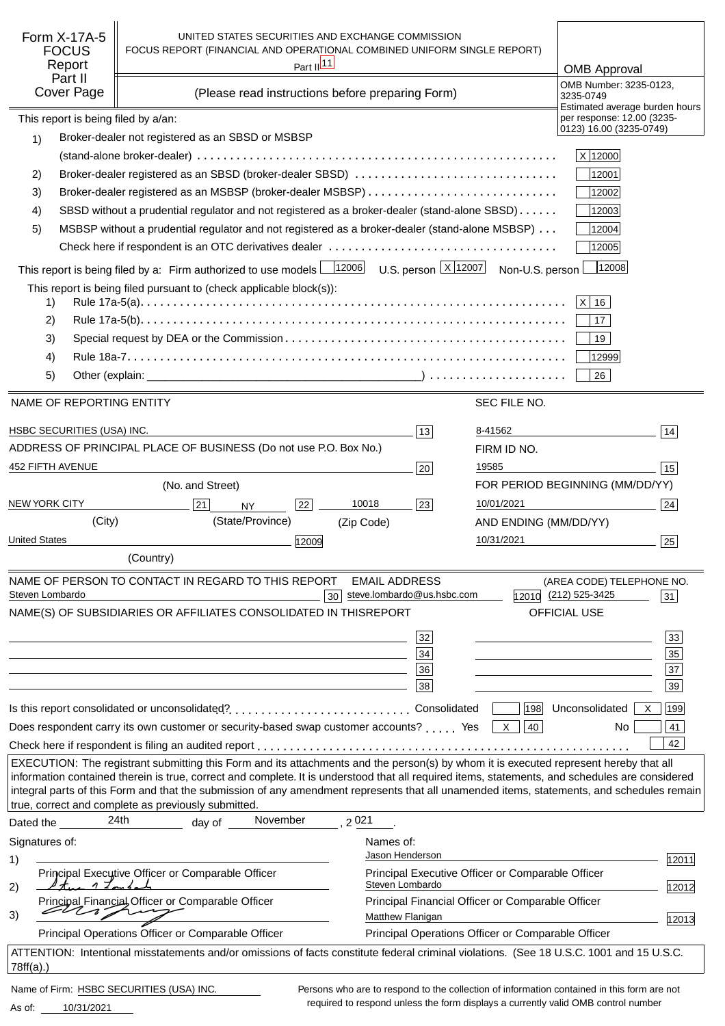| Form X-17A-5<br>UNITED STATES SECURITIES AND EXCHANGE COMMISSION                                                                                     |                                                                                            |                                                         |
|------------------------------------------------------------------------------------------------------------------------------------------------------|--------------------------------------------------------------------------------------------|---------------------------------------------------------|
| <b>FOCUS</b>                                                                                                                                         | FOCUS REPORT (FINANCIAL AND OPERATIONAL COMBINED UNIFORM SINGLE REPORT)                    |                                                         |
| Part II <sup>11</sup><br>Report                                                                                                                      |                                                                                            | <b>OMB Approval</b>                                     |
| Part II                                                                                                                                              |                                                                                            | OMB Number: 3235-0123,                                  |
| Cover Page<br>(Please read instructions before preparing Form)                                                                                       |                                                                                            | 3235-0749<br>Estimated average burden hours             |
| This report is being filed by a/an:                                                                                                                  |                                                                                            | per response: 12.00 (3235-                              |
| Broker-dealer not registered as an SBSD or MSBSP<br>1)                                                                                               |                                                                                            | 0123) 16.00 (3235-0749)                                 |
|                                                                                                                                                      |                                                                                            | X 12000                                                 |
| Broker-dealer registered as an SBSD (broker-dealer SBSD)<br>2)                                                                                       |                                                                                            | 12001                                                   |
|                                                                                                                                                      |                                                                                            |                                                         |
| Broker-dealer registered as an MSBSP (broker-dealer MSBSP)<br>3)                                                                                     |                                                                                            | 12002                                                   |
| SBSD without a prudential regulator and not registered as a broker-dealer (stand-alone SBSD)<br>4)                                                   |                                                                                            | 12003                                                   |
| MSBSP without a prudential regulator and not registered as a broker-dealer (stand-alone MSBSP)<br>5)                                                 |                                                                                            | 12004                                                   |
|                                                                                                                                                      |                                                                                            | 12005                                                   |
| This report is being filed by a: Firm authorized to use models $\boxed{12006}$                                                                       | U.S. person $\lfloor x \rfloor$ 12007<br>Non-U.S. person                                   | 12008                                                   |
| This report is being filed pursuant to (check applicable block(s)):                                                                                  |                                                                                            |                                                         |
| 1)                                                                                                                                                   |                                                                                            | $ X $ 16                                                |
| 2)                                                                                                                                                   |                                                                                            | 17                                                      |
| 3)                                                                                                                                                   |                                                                                            | 19                                                      |
| 4)                                                                                                                                                   |                                                                                            | 12999                                                   |
| 5)                                                                                                                                                   |                                                                                            | 26                                                      |
|                                                                                                                                                      |                                                                                            |                                                         |
| NAME OF REPORTING ENTITY                                                                                                                             | SEC FILE NO.                                                                               |                                                         |
|                                                                                                                                                      |                                                                                            |                                                         |
| HSBC SECURITIES (USA) INC.                                                                                                                           | 8-41562<br>13                                                                              | 14                                                      |
| ADDRESS OF PRINCIPAL PLACE OF BUSINESS (Do not use P.O. Box No.)                                                                                     | FIRM ID NO.                                                                                |                                                         |
| 452 FIFTH AVENUE                                                                                                                                     | 19585<br>20                                                                                | 15                                                      |
| (No. and Street)                                                                                                                                     |                                                                                            | FOR PERIOD BEGINNING (MM/DD/YY)                         |
| <b>NEW YORK CITY</b><br>21<br>22<br><b>NY</b>                                                                                                        | 10018<br>10/01/2021<br>23                                                                  | 24                                                      |
| (City)<br>(State/Province)                                                                                                                           | (Zip Code)<br>AND ENDING (MM/DD/YY)                                                        |                                                         |
| <b>United States</b><br>12009                                                                                                                        | 10/31/2021                                                                                 | 25                                                      |
| (Country)                                                                                                                                            |                                                                                            |                                                         |
|                                                                                                                                                      |                                                                                            |                                                         |
| NAME OF PERSON TO CONTACT IN REGARD TO THIS REPORT<br>Steven Lombardo                                                                                | <b>EMAIL ADDRESS</b><br>steve.lombardo@us.hsbc.com<br>30                                   | (AREA CODE) TELEPHONE NO.<br>12010 (212) 525-3425<br>31 |
| NAME(S) OF SUBSIDIARIES OR AFFILIATES CONSOLIDATED IN THIS                                                                                           | <b>REPORT</b>                                                                              | OFFICIAL USE                                            |
|                                                                                                                                                      |                                                                                            |                                                         |
|                                                                                                                                                      | 32                                                                                         | 33                                                      |
|                                                                                                                                                      | 34                                                                                         | 35                                                      |
|                                                                                                                                                      | 36                                                                                         | $\overline{37}$                                         |
|                                                                                                                                                      | 38                                                                                         | 39                                                      |
| Is this report consolidated or unconsolidated?Consolidated                                                                                           | 198                                                                                        | Unconsolidated<br>199<br>X                              |
| Does respondent carry its own customer or security-based swap customer accounts? Yes                                                                 | 40<br>X                                                                                    | 41<br>No.                                               |
|                                                                                                                                                      |                                                                                            | 42                                                      |
| EXECUTION: The registrant submitting this Form and its attachments and the person(s) by whom it is executed represent hereby that all                |                                                                                            |                                                         |
| information contained therein is true, correct and complete. It is understood that all required items, statements, and schedules are considered      |                                                                                            |                                                         |
| integral parts of this Form and that the submission of any amendment represents that all unamended items, statements, and schedules remain           |                                                                                            |                                                         |
| true, correct and complete as previously submitted.                                                                                                  |                                                                                            |                                                         |
| November<br>24th<br>Dated the<br>day of                                                                                                              | 2021                                                                                       |                                                         |
| Signatures of:                                                                                                                                       | Names of:                                                                                  |                                                         |
| 1)                                                                                                                                                   | Jason Henderson                                                                            | 12011                                                   |
| Principal Executive Officer or Comparable Officer                                                                                                    | Principal Executive Officer or Comparable Officer                                          |                                                         |
| $1 \nightharpoondown 2$<br>2)                                                                                                                        | Steven Lombardo                                                                            | 12012                                                   |
| Principal Financial Officer or Comparable Officer<br>3)                                                                                              | Principal Financial Officer or Comparable Officer<br>Matthew Flanigan                      |                                                         |
| Principal Operations Officer or Comparable Officer                                                                                                   | Principal Operations Officer or Comparable Officer                                         | 12013                                                   |
|                                                                                                                                                      |                                                                                            |                                                         |
| ATTENTION: Intentional misstatements and/or omissions of facts constitute federal criminal violations. (See 18 U.S.C. 1001 and 15 U.S.C.<br>78ff(a). |                                                                                            |                                                         |
|                                                                                                                                                      |                                                                                            |                                                         |
| Name of Firm: HSBC SECURITIES (USA) INC.                                                                                                             | Persons who are to respond to the collection of information contained in this form are not |                                                         |

10/31/2021 As of:

Persons who are to respond to the collection of information contained in this form are not required to respond unless the form displays a currently valid OMB control number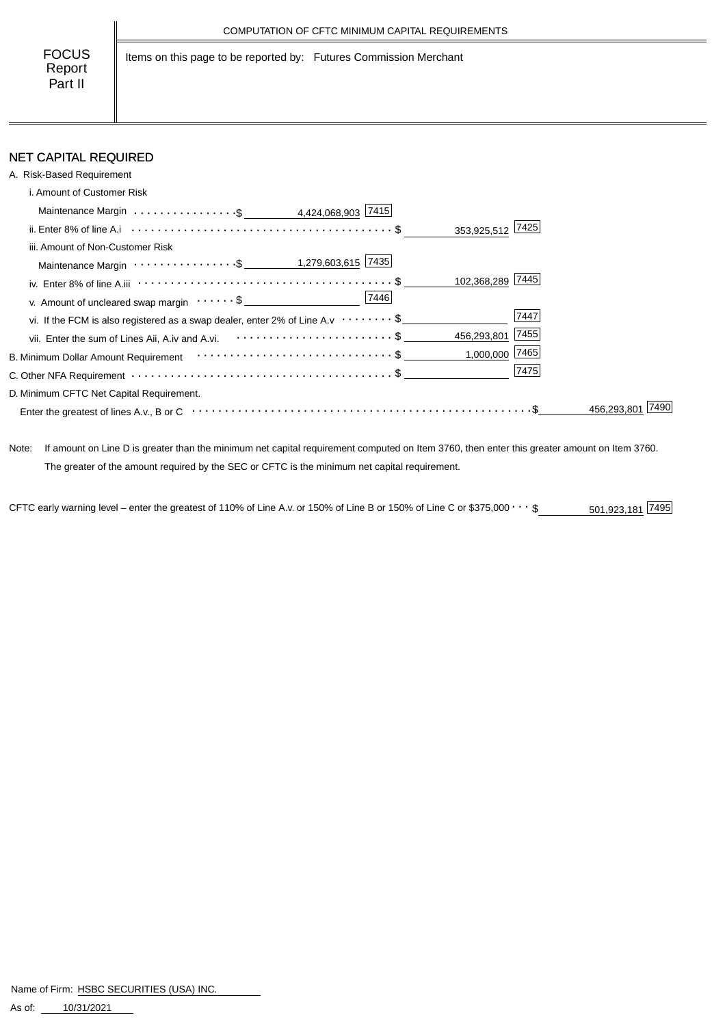Items on this page to be reported by: Futures Commission Merchant

# NET CAPITAL REQUIRED

| A. Risk-Based Requirement                                                                                                                   |           |
|---------------------------------------------------------------------------------------------------------------------------------------------|-----------|
| i. Amount of Customer Risk                                                                                                                  |           |
| Maintenance Margin \$ 4,424,068,903 7415                                                                                                    |           |
| 353,925,512 7425                                                                                                                            |           |
| iii. Amount of Non-Customer Risk                                                                                                            |           |
|                                                                                                                                             |           |
| iv. Enter 8% of line A.iii $\cdots \cdots \cdots \cdots \cdots \cdots \cdots \cdots \cdots \cdots \cdots \cdots \cdots$<br>102,368,289 7445 |           |
| 7446<br>v. Amount of uncleared swap margin $\dots \dots$ \$                                                                                 |           |
| vi. If the FCM is also registered as a swap dealer, enter 2% of Line A.v $\cdots \cdots$ \$                                                 | 7447      |
| 456,293,801 7455<br>vii. Enter the sum of Lines Aii, A.iv and A.vi. $\cdots \cdots \cdots \cdots \cdots \cdots \cdots$ \$                   |           |
| $1,000,000$ 7465                                                                                                                            |           |
|                                                                                                                                             | 7475      |
| D. Minimum CFTC Net Capital Requirement.                                                                                                    |           |
|                                                                                                                                             | 456.293.8 |

Note: If amount on Line D is greater than the minimum net capital requirement computed on Item 3760, then enter this greater amount on Item 3760. The greater of the amount required by the SEC or CFTC is the minimum net capital requirement.

CFTC early warning level – enter the greatest of 110% of Line A.v. or 150% of Line B or 150% of Line C or \$375,000  $\cdots$  \$ 501,923,181  $\sqrt{7495}$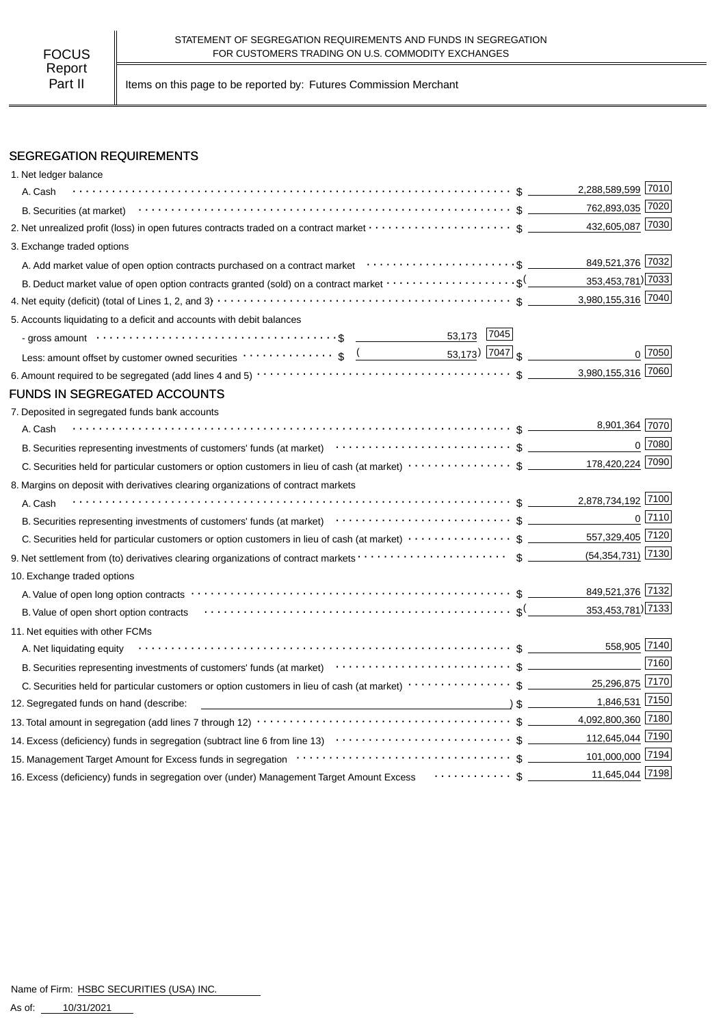Part II | Items on this page to be reported by: Futures Commission Merchant

### SEGREGATION REQUIREMENTS

| 1. Net ledger balance                                                                                                                                                                                                                                                                                                                                                           |                    |            |
|---------------------------------------------------------------------------------------------------------------------------------------------------------------------------------------------------------------------------------------------------------------------------------------------------------------------------------------------------------------------------------|--------------------|------------|
| A. Cash                                                                                                                                                                                                                                                                                                                                                                         | 2,288,589,599 7010 |            |
|                                                                                                                                                                                                                                                                                                                                                                                 | 762,893,035 7020   |            |
|                                                                                                                                                                                                                                                                                                                                                                                 | 432,605,087 7030   |            |
| 3. Exchange traded options                                                                                                                                                                                                                                                                                                                                                      |                    |            |
|                                                                                                                                                                                                                                                                                                                                                                                 | 849,521,376 7032   |            |
| B. Deduct market value of open option contracts granted (sold) on a contract market $\cdots\cdots\cdots\cdots\cdots\cdots$                                                                                                                                                                                                                                                      | 353,453,781) 7033  |            |
|                                                                                                                                                                                                                                                                                                                                                                                 | 3,980,155,316 7040 |            |
| 5. Accounts liquidating to a deficit and accounts with debit balances                                                                                                                                                                                                                                                                                                           |                    |            |
| 53,173 7045                                                                                                                                                                                                                                                                                                                                                                     |                    |            |
| Less: amount offset by customer owned securities $\cdots \cdots \cdots$ ; $\frac{1}{2}$ $\frac{1}{2}$ $\frac{53,173}{2}$ $\frac{7047}{3}$                                                                                                                                                                                                                                       |                    | $0^{7050}$ |
|                                                                                                                                                                                                                                                                                                                                                                                 | 3,980,155,316 7060 |            |
| <b>FUNDS IN SEGREGATED ACCOUNTS</b>                                                                                                                                                                                                                                                                                                                                             |                    |            |
| 7. Deposited in segregated funds bank accounts                                                                                                                                                                                                                                                                                                                                  |                    |            |
| A. Cash                                                                                                                                                                                                                                                                                                                                                                         | 8,901,364 7070     |            |
| B. Securities representing investments of customers' funds (at market) contract contract contract to the securities representing investments of customers' funds (at market) contract contract of the securities representing                                                                                                                                                   |                    | 0 7080     |
|                                                                                                                                                                                                                                                                                                                                                                                 |                    |            |
| 8. Margins on deposit with derivatives clearing organizations of contract markets                                                                                                                                                                                                                                                                                               |                    |            |
| A. Cash                                                                                                                                                                                                                                                                                                                                                                         | 2,878,734,192 7100 |            |
| B. Securities representing investments of customers' funds (at market) contract contract contract to the contract of the contract of the Securities representing investments of customers' funds (at market) contract of the s                                                                                                                                                  |                    | $0$ 7110   |
| C. Securities held for particular customers or option customers in lieu of cash (at market) ···················\$                                                                                                                                                                                                                                                               | 557,329,405 7120   |            |
|                                                                                                                                                                                                                                                                                                                                                                                 |                    |            |
| 10. Exchange traded options                                                                                                                                                                                                                                                                                                                                                     |                    |            |
|                                                                                                                                                                                                                                                                                                                                                                                 | 849,521,376 7132   |            |
| B. Value of open short option contracts with the context of the context of the context of the context of the context of the context of the context of the context of the context of the context of the context of the context                                                                                                                                                   | 353,453,781) 7133  |            |
| 11. Net equities with other FCMs                                                                                                                                                                                                                                                                                                                                                |                    |            |
| A. Net liquidating equity                                                                                                                                                                                                                                                                                                                                                       | 558,905 7140       |            |
| B. Securities representing investments of customers' funds (at market) contracts contracts of the contract of the contract of the securities representing investments of customers' funds (at market) contracts of the contrac                                                                                                                                                  |                    | 7160       |
| C. Securities held for particular customers or option customers in lieu of cash (at market) ··················\$                                                                                                                                                                                                                                                                | 25,296,875 7170    |            |
| $\overline{\hspace{1cm}}$ $\hspace{1.5cm}$ $\hspace{1.5cm}$ $\hspace{1.5cm}$ $\hspace{1.5cm}$ $\hspace{1.5cm}$ $\hspace{1.5cm}$ $\hspace{1.5cm}$ $\hspace{1.5cm}$ $\hspace{1.5cm}$ $\hspace{1.5cm}$ $\hspace{1.5cm}$ $\hspace{1.5cm}$ $\hspace{1.5cm}$ $\hspace{1.5cm}$ $\hspace{1.5cm}$ $\hspace{1.5cm}$ $\hspace{1.5cm}$ $\hspace$<br>12. Segregated funds on hand (describe: | 1,846,531 7150     |            |
|                                                                                                                                                                                                                                                                                                                                                                                 | 4,092,800,360 7180 |            |
|                                                                                                                                                                                                                                                                                                                                                                                 | 112,645,044 7190   |            |
|                                                                                                                                                                                                                                                                                                                                                                                 | 101,000,000 7194   |            |
|                                                                                                                                                                                                                                                                                                                                                                                 |                    |            |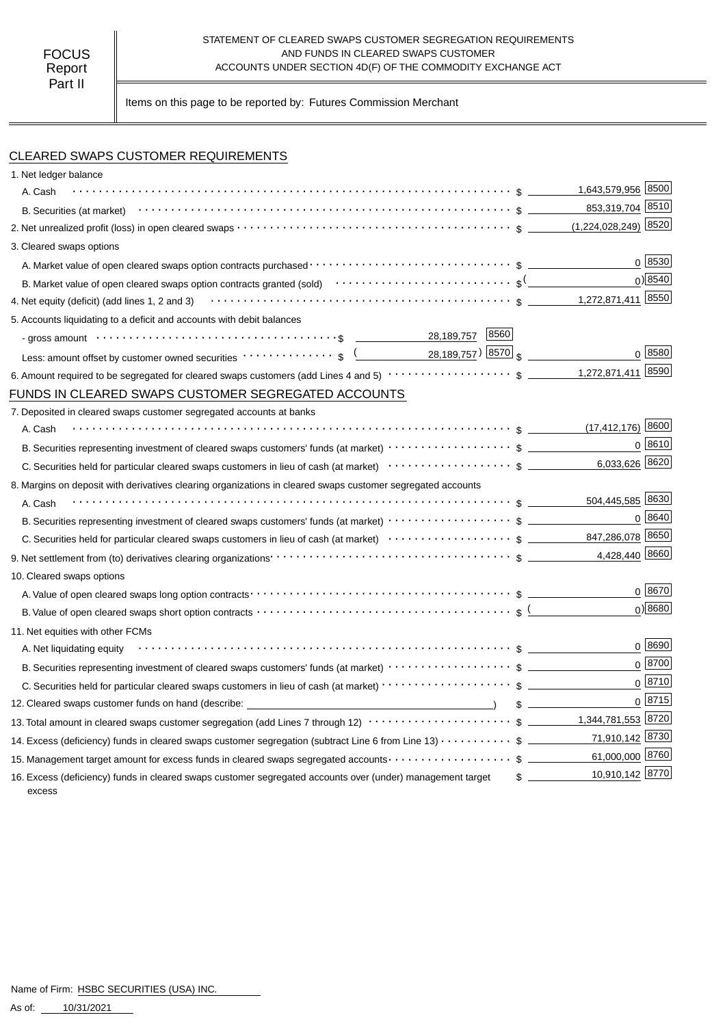#### STATEMENT OF CLEARED SWAPS CUSTOMER SEGREGATION REQUIREMENTS AND FUNDS IN CLEARED SWAPS CUSTOMER ACCOUNTS UNDER SECTION 4D(F) OF THE COMMODITY EXCHANGE ACT

Items on this page to be reported by: Futures Commission Merchant

## CLEARED SWAPS CUSTOMER REQUIREMENTS

| 1. Net ledger balance                                                                                                                                                                 |                                  |      |
|---------------------------------------------------------------------------------------------------------------------------------------------------------------------------------------|----------------------------------|------|
| A. Cash                                                                                                                                                                               | 1,643,579,956 8500               |      |
|                                                                                                                                                                                       | 853,319,704 8510                 |      |
|                                                                                                                                                                                       | $(1,224,028,249)$ 8520           |      |
| 3. Cleared swaps options                                                                                                                                                              |                                  |      |
|                                                                                                                                                                                       | 0 8530                           |      |
|                                                                                                                                                                                       | $0$ <sup>8540</sup>              |      |
| 4. Net equity (deficit) (add lines 1, 2 and 3) $\cdots$ $\cdots$ $\cdots$ $\cdots$ $\cdots$ $\cdots$ $\cdots$ $\cdots$ $\cdots$ $\cdots$ $\cdots$ $\cdots$ $\cdots$ $\cdots$ $\cdots$ | 1,272,871,411 8550               |      |
| 5. Accounts liquidating to a deficit and accounts with debit balances                                                                                                                 |                                  |      |
| 28,189,757 8560<br>- gross amount $\cdots$ $\cdots$ $\cdots$ $\cdots$ $\cdots$ $\cdots$ $\cdots$ $\cdots$ $\cdots$ $\cdots$ $\cdots$ $\cdots$                                         |                                  |      |
| Less: amount offset by customer owned securities $\cdots \cdots \cdots$ , $\sqrt{(28,189,757)(8570)(8570)}$                                                                           | $0 \; 8580$                      |      |
|                                                                                                                                                                                       | 1,272,871,411                    | 8590 |
| FUNDS IN CLEARED SWAPS CUSTOMER SEGREGATED ACCOUNTS                                                                                                                                   |                                  |      |
| 7. Deposited in cleared swaps customer segregated accounts at banks                                                                                                                   |                                  |      |
| A. Cash                                                                                                                                                                               | $(17,412,176)$ 8600              |      |
|                                                                                                                                                                                       | $0^{8610}$                       |      |
|                                                                                                                                                                                       | 6,033,626 8620                   |      |
| 8. Margins on deposit with derivatives clearing organizations in cleared swaps customer segregated accounts                                                                           |                                  |      |
| A. Cash                                                                                                                                                                               |                                  |      |
|                                                                                                                                                                                       | 0   8640                         |      |
|                                                                                                                                                                                       |                                  |      |
|                                                                                                                                                                                       | 4,428,440 8660                   |      |
| 10. Cleared swaps options                                                                                                                                                             |                                  |      |
|                                                                                                                                                                                       | 0 8670                           |      |
| B. Value of open cleared swaps short option contracts $\cdots\cdots\cdots\cdots\cdots\cdots\cdots\cdots\cdots\cdots\cdots\cdots$ s (                                                  | $0$ <sup>8680</sup>              |      |
| 11. Net equities with other FCMs                                                                                                                                                      |                                  |      |
| A. Net liquidating equity                                                                                                                                                             | 0 8690                           |      |
|                                                                                                                                                                                       | 0 8700                           |      |
| C. Securities held for particular cleared swaps customers in lieu of cash (at market) · · · · · · · · · · · · · · · · · · \$                                                          | $0^{8710}$                       |      |
| 12. Cleared swaps customer funds on hand (describe: _____________________________                                                                                                     | 0 8715                           |      |
| 13. Total amount in cleared swaps customer segregation (add Lines 7 through 12) $\cdots\cdots\cdots\cdots\cdots\cdots\cdots$ \$ ________1,344,781,553 8720                            |                                  |      |
| 14. Excess (deficiency) funds in cleared swaps customer segregation (subtract Line 6 from Line 13) $\cdots$ \$                                                                        | 71,910,142 8730                  |      |
| 15. Management target amount for excess funds in cleared swaps segregated accounts $\cdots\cdots\cdots\cdots\cdots\quad$ \$                                                           | 61,000,000 8760                  |      |
| 16. Excess (deficiency) funds in cleared swaps customer segregated accounts over (under) management target<br>excess                                                                  | 10,910,142 8770<br>$\frac{1}{2}$ |      |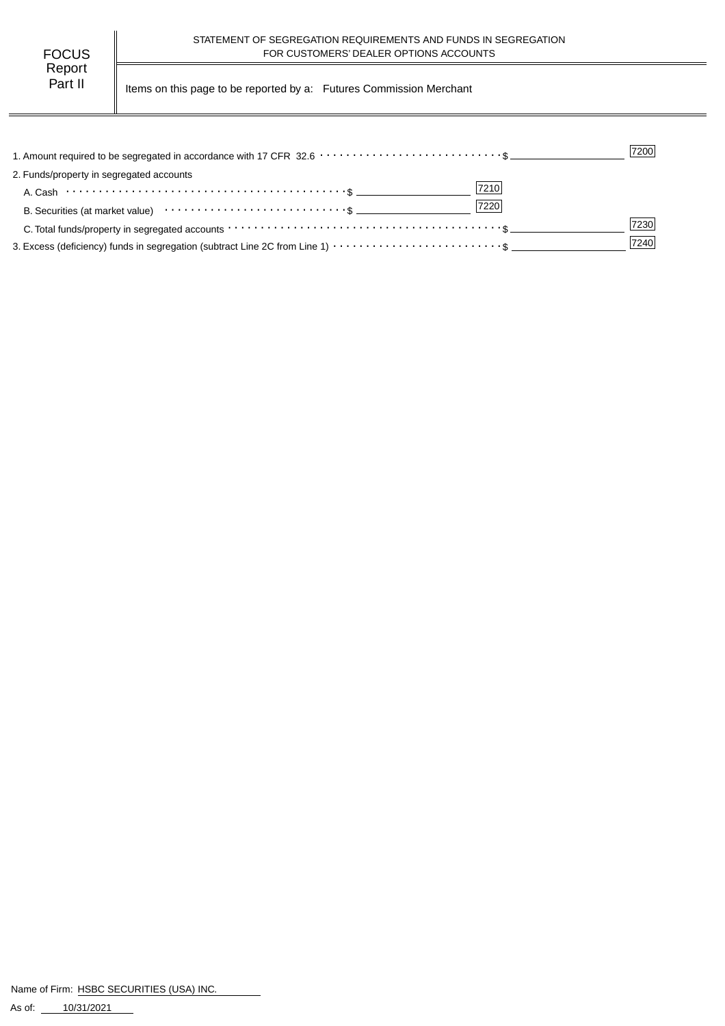| FOCUS   |  |
|---------|--|
| Report  |  |
| Part II |  |

Items on this page to be reported by a: Futures Commission Merchant

|                                                                                                                                             | 7200 |
|---------------------------------------------------------------------------------------------------------------------------------------------|------|
| 2. Funds/property in segregated accounts                                                                                                    |      |
| 7210                                                                                                                                        |      |
| 7220<br>B. Securities (at market value) contract the second securities (at market value)                                                    |      |
| C. Total funds/property in segregated accounts $\cdots \cdots \cdots \cdots \cdots \cdots \cdots \cdots \cdots \cdots \cdots \cdots \cdots$ | 7230 |
| 3. Excess (deficiency) funds in segregation (subtract Line 2C from Line 1) $\cdots \cdots \cdots \cdots \cdots \cdots \cdots$ \$            | 7240 |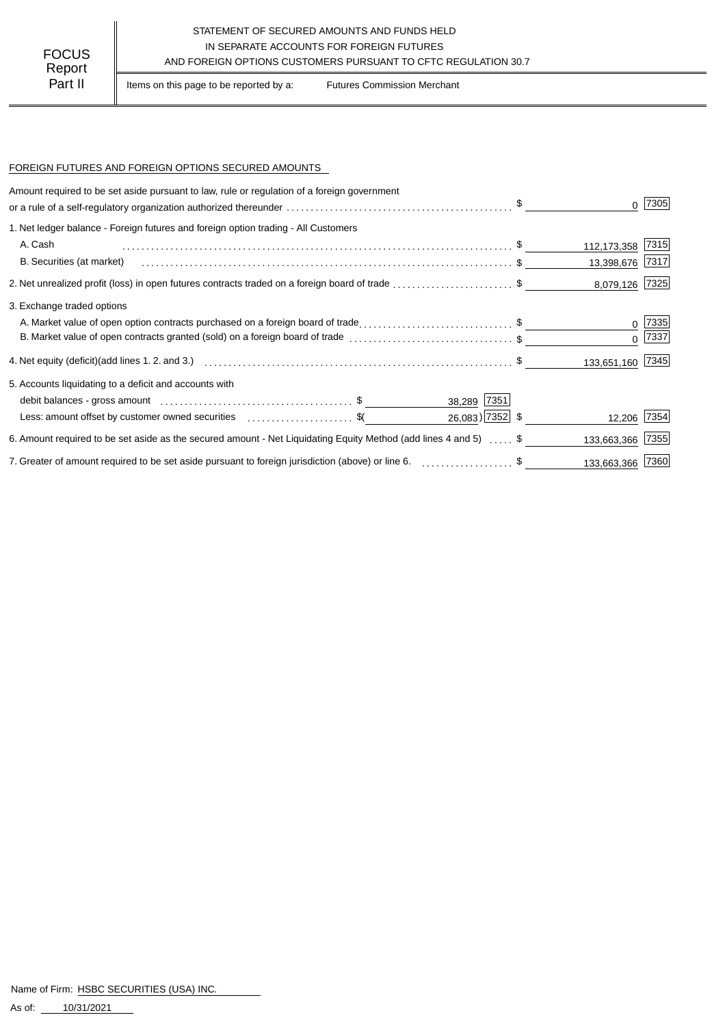### STATEMENT OF SECURED AMOUNTS AND FUNDS HELD IN SEPARATE ACCOUNTS FOR FOREIGN FUTURES FOCUS IN SEPARALE ACCOUNTS FOR FOREIGN FUTURES<br>AND FOREIGN OPTIONS CUSTOMERS PURSUANT TO CFTC REGULATION 30.7

Part II | Items on this page to be reported by a: Futures Commission Merchant

#### FOREIGN FUTURES AND FOREIGN OPTIONS SECURED AMOUNTS

| Amount required to be set aside pursuant to law, rule or regulation of a foreign government                      |                    |                  |            |
|------------------------------------------------------------------------------------------------------------------|--------------------|------------------|------------|
|                                                                                                                  |                    |                  | 7305       |
| 1. Net ledger balance - Foreign futures and foreign option trading - All Customers                               |                    |                  |            |
| A. Cash                                                                                                          |                    | 112,173,358 7315 |            |
| B. Securities (at market)                                                                                        |                    | 13,398,676 7317  |            |
| 2. Net unrealized profit (loss) in open futures contracts traded on a foreign board of trade \$                  |                    | 8,079,126 7325   |            |
| 3. Exchange traded options                                                                                       |                    |                  |            |
| A. Market value of open option contracts purchased on a foreign board of trade\$                                 |                    |                  | 7335       |
| B. Market value of open contracts granted (sold) on a foreign board of trade \$                                  |                    |                  | $0^{7337}$ |
|                                                                                                                  |                    | 133,651,160 7345 |            |
| 5. Accounts liquidating to a deficit and accounts with                                                           |                    |                  |            |
|                                                                                                                  | 38,289 7351        |                  |            |
| Less: amount offset by customer owned securities \$(                                                             | $26,083$ ) 7352 \$ | 12,206 7354      |            |
| 6. Amount required to be set aside as the secured amount - Net Liquidating Equity Method (add lines 4 and 5)  \$ |                    | 133,663,366      | 7355       |
| 7. Greater of amount required to be set aside pursuant to foreign jurisdiction (above) or line 6. \$             |                    | 133,663,366 7360 |            |